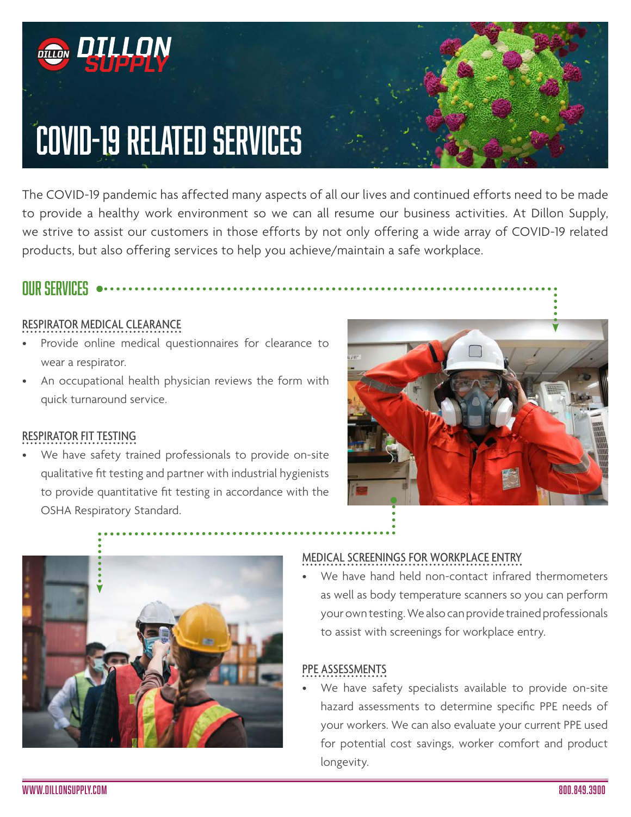

The COVID-19 pandemic has affected many aspects of all our lives and continued efforts need to be made to provide a healthy work environment so we can all resume our business activities. At Dillon Supply, we strive to assist our customers in those efforts by not only offering a wide array of COVID-19 related products, but also offering services to help you achieve/maintain a safe workplace.

# OUR SERVICES

### RESPIRATOR MEDICAL CLEARANCE

- Provide online medical questionnaires for clearance to wear a respirator.
- An occupational health physician reviews the form with quick turnaround service.

#### RESPIRATOR FIT TESTING

We have safety trained professionals to provide on-site qualitative fit testing and partner with industrial hygienists to provide quantitative fit testing in accordance with the OSHA Respiratory Standard.





### MEDICAL SCREENINGS FOR WORKPLACE ENTRY

We have hand held non-contact infrared thermometers as well as body temperature scanners so you can perform your own testing. We also can provide trained professionals to assist with screenings for workplace entry.

### PPE ASSESSMENTS

We have safety specialists available to provide on-site hazard assessments to determine specific PPE needs of your workers. We can also evaluate your current PPE used for potential cost savings, worker comfort and product longevity.